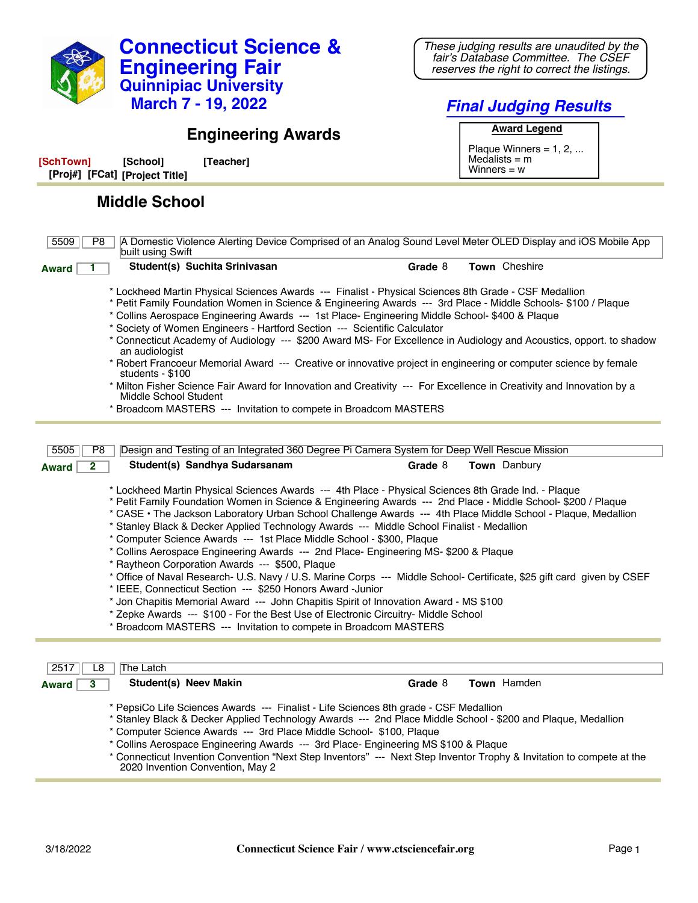

*These judging results are unaudited by the fair's Database Committee. The CSEF reserves the right to correct the listings.*

## *Final Judging Results* **Award Legend**

Plaque Winners =  $1, 2, ...$  $Medalists = m$ Winners = w

## **Engineering Awards**

| [SchTown]                      | [School] | [Teacher] |
|--------------------------------|----------|-----------|
| [Proj#] [FCat] [Project Title] |          |           |

## **Middle School**

| 5509<br>P8                                                                                                                                                                                                                                                                                                                                                                                                                                                                                                                                                                                                                                                                                                                                                                                                                                                                                                                                                                                                                                                                                         | A Domestic Violence Alerting Device Comprised of an Analog Sound Level Meter OLED Display and iOS Mobile App<br>built using Swift                                                                                                                                                                                                                                                                                                                                                                                                                                                                                                                                                                                                                                                                                                                                                                              |         |               |
|----------------------------------------------------------------------------------------------------------------------------------------------------------------------------------------------------------------------------------------------------------------------------------------------------------------------------------------------------------------------------------------------------------------------------------------------------------------------------------------------------------------------------------------------------------------------------------------------------------------------------------------------------------------------------------------------------------------------------------------------------------------------------------------------------------------------------------------------------------------------------------------------------------------------------------------------------------------------------------------------------------------------------------------------------------------------------------------------------|----------------------------------------------------------------------------------------------------------------------------------------------------------------------------------------------------------------------------------------------------------------------------------------------------------------------------------------------------------------------------------------------------------------------------------------------------------------------------------------------------------------------------------------------------------------------------------------------------------------------------------------------------------------------------------------------------------------------------------------------------------------------------------------------------------------------------------------------------------------------------------------------------------------|---------|---------------|
| <b>Award</b>                                                                                                                                                                                                                                                                                                                                                                                                                                                                                                                                                                                                                                                                                                                                                                                                                                                                                                                                                                                                                                                                                       | Student(s) Suchita Srinivasan                                                                                                                                                                                                                                                                                                                                                                                                                                                                                                                                                                                                                                                                                                                                                                                                                                                                                  | Grade 8 | Town Cheshire |
|                                                                                                                                                                                                                                                                                                                                                                                                                                                                                                                                                                                                                                                                                                                                                                                                                                                                                                                                                                                                                                                                                                    | * Lockheed Martin Physical Sciences Awards --- Finalist - Physical Sciences 8th Grade - CSF Medallion<br>* Petit Family Foundation Women in Science & Engineering Awards --- 3rd Place - Middle Schools- \$100 / Plaque<br>* Collins Aerospace Engineering Awards --- 1st Place- Engineering Middle School- \$400 & Plaque<br>* Society of Women Engineers - Hartford Section --- Scientific Calculator<br>* Connecticut Academy of Audiology --- \$200 Award MS- For Excellence in Audiology and Acoustics, opport to shadow<br>an audiologist<br>* Robert Francoeur Memorial Award --- Creative or innovative project in engineering or computer science by female<br>students - \$100<br>* Milton Fisher Science Fair Award for Innovation and Creativity --- For Excellence in Creativity and Innovation by a<br>Middle School Student<br>* Broadcom MASTERS --- Invitation to compete in Broadcom MASTERS |         |               |
|                                                                                                                                                                                                                                                                                                                                                                                                                                                                                                                                                                                                                                                                                                                                                                                                                                                                                                                                                                                                                                                                                                    |                                                                                                                                                                                                                                                                                                                                                                                                                                                                                                                                                                                                                                                                                                                                                                                                                                                                                                                |         |               |
| 5505<br>P <sub>8</sub><br>$\overline{2}$<br><b>Award</b>                                                                                                                                                                                                                                                                                                                                                                                                                                                                                                                                                                                                                                                                                                                                                                                                                                                                                                                                                                                                                                           | Design and Testing of an Integrated 360 Degree Pi Camera System for Deep Well Rescue Mission<br>Student(s) Sandhya Sudarsanam                                                                                                                                                                                                                                                                                                                                                                                                                                                                                                                                                                                                                                                                                                                                                                                  | Grade 8 | Town Danbury  |
| * Lockheed Martin Physical Sciences Awards --- 4th Place - Physical Sciences 8th Grade Ind. - Plaque<br>* Petit Family Foundation Women in Science & Engineering Awards --- 2nd Place - Middle School- \$200 / Plaque<br>* CASE · The Jackson Laboratory Urban School Challenge Awards --- 4th Place Middle School - Plaque, Medallion<br>* Stanley Black & Decker Applied Technology Awards --- Middle School Finalist - Medallion<br>* Computer Science Awards --- 1st Place Middle School - \$300, Plaque<br>* Collins Aerospace Engineering Awards --- 2nd Place- Engineering MS- \$200 & Plaque<br>* Raytheon Corporation Awards --- \$500, Plaque<br>* Office of Naval Research- U.S. Navy / U.S. Marine Corps --- Middle School- Certificate, \$25 gift card given by CSEF<br>* IEEE, Connecticut Section --- \$250 Honors Award -Junior<br>* Jon Chapitis Memorial Award --- John Chapitis Spirit of Innovation Award - MS \$100<br>* Zepke Awards --- \$100 - For the Best Use of Electronic Circuitry- Middle School<br>* Broadcom MASTERS --- Invitation to compete in Broadcom MASTERS |                                                                                                                                                                                                                                                                                                                                                                                                                                                                                                                                                                                                                                                                                                                                                                                                                                                                                                                |         |               |
|                                                                                                                                                                                                                                                                                                                                                                                                                                                                                                                                                                                                                                                                                                                                                                                                                                                                                                                                                                                                                                                                                                    |                                                                                                                                                                                                                                                                                                                                                                                                                                                                                                                                                                                                                                                                                                                                                                                                                                                                                                                |         |               |
| 2517<br>L8                                                                                                                                                                                                                                                                                                                                                                                                                                                                                                                                                                                                                                                                                                                                                                                                                                                                                                                                                                                                                                                                                         | The Latch                                                                                                                                                                                                                                                                                                                                                                                                                                                                                                                                                                                                                                                                                                                                                                                                                                                                                                      |         |               |
| $\overline{\mathbf{3}}$                                                                                                                                                                                                                                                                                                                                                                                                                                                                                                                                                                                                                                                                                                                                                                                                                                                                                                                                                                                                                                                                            | <b>Student(s) Neev Makin</b>                                                                                                                                                                                                                                                                                                                                                                                                                                                                                                                                                                                                                                                                                                                                                                                                                                                                                   |         | Town Hamden   |

\* PepsiCo Life Sciences Awards --- Finalist - Life Sciences 8th grade - CSF Medallion

\* Stanley Black & Decker Applied Technology Awards --- 2nd Place Middle School - \$200 and Plaque, Medallion

- \* Computer Science Awards --- 3rd Place Middle School- \$100, Plaque
- \* Collins Aerospace Engineering Awards --- 3rd Place- Engineering MS \$100 & Plaque
- \* Connecticut Invention Convention "Next Step Inventors" --- Next Step Inventor Trophy & Invitation to compete at the 2020 Invention Convention, May 2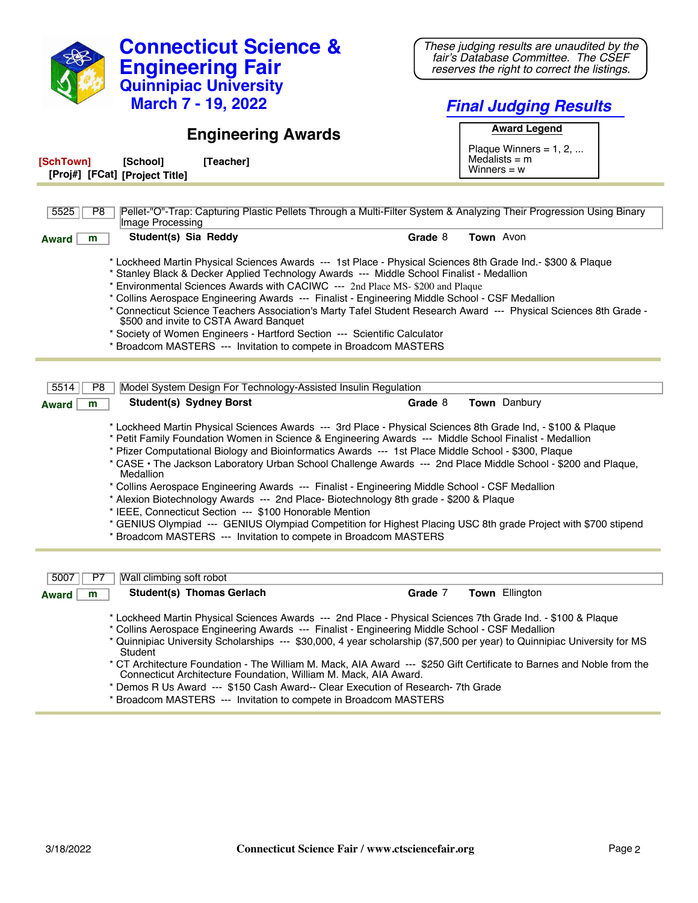| <b>Connecticut Science &amp;</b>                                                                                                                                                                                                                                                                                                                                                                                                                                                                                                                                                                                                                                                                                                                                                                                                                                                                           | These judging results are unaudited by the<br>fair's Database Committee. The CSEF |  |
|------------------------------------------------------------------------------------------------------------------------------------------------------------------------------------------------------------------------------------------------------------------------------------------------------------------------------------------------------------------------------------------------------------------------------------------------------------------------------------------------------------------------------------------------------------------------------------------------------------------------------------------------------------------------------------------------------------------------------------------------------------------------------------------------------------------------------------------------------------------------------------------------------------|-----------------------------------------------------------------------------------|--|
| <b>Engineering Fair</b><br><b>Quinnipiac University</b>                                                                                                                                                                                                                                                                                                                                                                                                                                                                                                                                                                                                                                                                                                                                                                                                                                                    | reserves the right to correct the listings.                                       |  |
| <b>March 7 - 19, 2022</b>                                                                                                                                                                                                                                                                                                                                                                                                                                                                                                                                                                                                                                                                                                                                                                                                                                                                                  | <b>Final Judging Results</b>                                                      |  |
| <b>Engineering Awards</b>                                                                                                                                                                                                                                                                                                                                                                                                                                                                                                                                                                                                                                                                                                                                                                                                                                                                                  | <b>Award Legend</b><br>Plaque Winners = $1, 2, $                                  |  |
| [SchTown]<br>[Teacher]<br>[School]<br>[Proj#] [FCat] [Project Title]                                                                                                                                                                                                                                                                                                                                                                                                                                                                                                                                                                                                                                                                                                                                                                                                                                       | Medalists $=$ m<br>Winners = $w$                                                  |  |
|                                                                                                                                                                                                                                                                                                                                                                                                                                                                                                                                                                                                                                                                                                                                                                                                                                                                                                            |                                                                                   |  |
| Pellet-"O"-Trap: Capturing Plastic Pellets Through a Multi-Filter System & Analyzing Their Progression Using Binary<br>5525<br>P8<br>Image Processing                                                                                                                                                                                                                                                                                                                                                                                                                                                                                                                                                                                                                                                                                                                                                      |                                                                                   |  |
| Student(s) Sia Reddy<br><b>Award</b><br>m                                                                                                                                                                                                                                                                                                                                                                                                                                                                                                                                                                                                                                                                                                                                                                                                                                                                  | Town Avon<br>Grade 8                                                              |  |
| * Lockheed Martin Physical Sciences Awards --- 1st Place - Physical Sciences 8th Grade Ind.- \$300 & Plaque<br>* Stanley Black & Decker Applied Technology Awards --- Middle School Finalist - Medallion<br>* Environmental Sciences Awards with CACIWC --- 2nd Place MS- \$200 and Plaque<br>* Collins Aerospace Engineering Awards --- Finalist - Engineering Middle School - CSF Medallion<br>* Connecticut Science Teachers Association's Marty Tafel Student Research Award --- Physical Sciences 8th Grade -<br>\$500 and invite to CSTA Award Banquet<br>* Society of Women Engineers - Hartford Section --- Scientific Calculator<br>* Broadcom MASTERS --- Invitation to compete in Broadcom MASTERS                                                                                                                                                                                              |                                                                                   |  |
|                                                                                                                                                                                                                                                                                                                                                                                                                                                                                                                                                                                                                                                                                                                                                                                                                                                                                                            |                                                                                   |  |
| Model System Design For Technology-Assisted Insulin Regulation<br>5514<br>P8<br><b>Student(s) Sydney Borst</b><br>m<br><b>Award</b>                                                                                                                                                                                                                                                                                                                                                                                                                                                                                                                                                                                                                                                                                                                                                                        | Town Danbury<br>Grade 8                                                           |  |
| * Lockheed Martin Physical Sciences Awards --- 3rd Place - Physical Sciences 8th Grade Ind, - \$100 & Plaque<br>* Petit Family Foundation Women in Science & Engineering Awards --- Middle School Finalist - Medallion<br>* Pfizer Computational Biology and Bioinformatics Awards --- 1st Place Middle School - \$300, Plaque<br>* CASE • The Jackson Laboratory Urban School Challenge Awards --- 2nd Place Middle School - \$200 and Plaque,<br>Medallion<br>* Collins Aerospace Engineering Awards --- Finalist - Engineering Middle School - CSF Medallion<br>* Alexion Biotechnology Awards --- 2nd Place- Biotechnology 8th grade - \$200 & Plaque<br>* IEEE, Connecticut Section --- \$100 Honorable Mention<br>* GENIUS Olympiad --- GENIUS Olympiad Competition for Highest Placing USC 8th grade Project with \$700 stipend<br>* Broadcom MASTERS --- Invitation to compete in Broadcom MASTERS |                                                                                   |  |
| Wall climbing soft robot<br>5007<br>P7                                                                                                                                                                                                                                                                                                                                                                                                                                                                                                                                                                                                                                                                                                                                                                                                                                                                     |                                                                                   |  |
| Student(s) Thomas Gerlach<br>m<br><b>Award</b>                                                                                                                                                                                                                                                                                                                                                                                                                                                                                                                                                                                                                                                                                                                                                                                                                                                             | Town Ellington<br>Grade 7                                                         |  |
| * Lockheed Martin Physical Sciences Awards --- 2nd Place - Physical Sciences 7th Grade Ind. - \$100 & Plaque<br>* Collins Aerospace Engineering Awards --- Finalist - Engineering Middle School - CSF Medallion<br>* Quinnipiac University Scholarships --- \$30,000, 4 year scholarship (\$7,500 per year) to Quinnipiac University for MS<br><b>Student</b><br>* CT Architecture Foundation - The William M. Mack, AIA Award --- \$250 Gift Certificate to Barnes and Noble from the<br>Connecticut Architecture Foundation, William M. Mack, AIA Award.<br>* Demos R Us Award --- \$150 Cash Award-- Clear Execution of Research- 7th Grade<br>* Broadcom MASTERS --- Invitation to compete in Broadcom MASTERS                                                                                                                                                                                         |                                                                                   |  |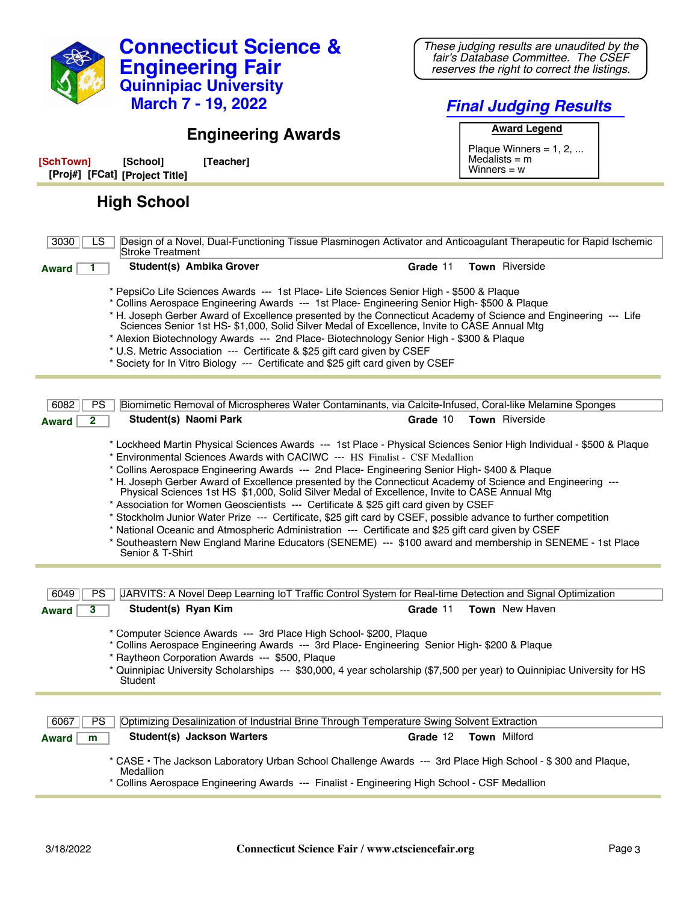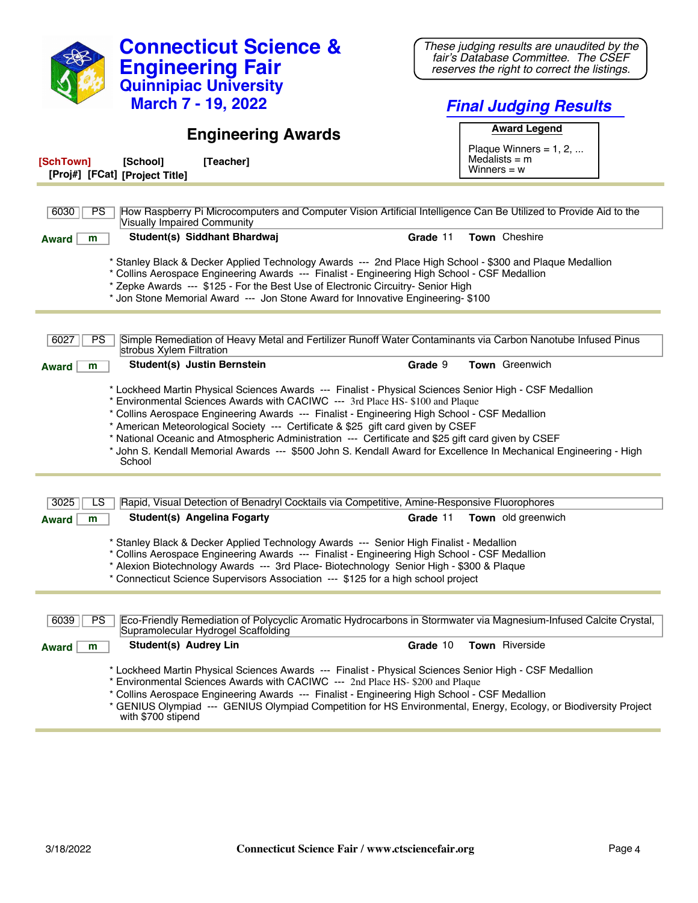| <b>Connecticut Science &amp;</b><br><b>Engineering Fair</b><br><b>Quinnipiac University</b><br><b>March 7 - 19, 2022</b>                                                                                                                                                                                                                                                                                                                                                                                                                                                                                            | These judging results are unaudited by the<br>fair's Database Committee. The CSEF<br>reserves the right to correct the listings.<br><b>Final Judging Results</b> |  |
|---------------------------------------------------------------------------------------------------------------------------------------------------------------------------------------------------------------------------------------------------------------------------------------------------------------------------------------------------------------------------------------------------------------------------------------------------------------------------------------------------------------------------------------------------------------------------------------------------------------------|------------------------------------------------------------------------------------------------------------------------------------------------------------------|--|
|                                                                                                                                                                                                                                                                                                                                                                                                                                                                                                                                                                                                                     | <b>Award Legend</b>                                                                                                                                              |  |
| <b>Engineering Awards</b><br>[SchTown]<br>[School]<br>[Teacher]                                                                                                                                                                                                                                                                                                                                                                                                                                                                                                                                                     | Plaque Winners = $1, 2, $<br>Medalists $=$ m<br>Winners = $w$                                                                                                    |  |
| [Proj#] [FCat] [Project Title]                                                                                                                                                                                                                                                                                                                                                                                                                                                                                                                                                                                      |                                                                                                                                                                  |  |
| How Raspberry Pi Microcomputers and Computer Vision Artificial Intelligence Can Be Utilized to Provide Aid to the<br>6030<br><b>PS</b><br><b>Visually Impaired Community</b>                                                                                                                                                                                                                                                                                                                                                                                                                                        |                                                                                                                                                                  |  |
| Student(s) Siddhant Bhardwaj<br>m<br><b>Award</b>                                                                                                                                                                                                                                                                                                                                                                                                                                                                                                                                                                   | Town Cheshire<br>Grade 11                                                                                                                                        |  |
| * Stanley Black & Decker Applied Technology Awards --- 2nd Place High School - \$300 and Plaque Medallion<br>* Collins Aerospace Engineering Awards --- Finalist - Engineering High School - CSF Medallion<br>* Zepke Awards --- \$125 - For the Best Use of Electronic Circuitry- Senior High<br>* Jon Stone Memorial Award --- Jon Stone Award for Innovative Engineering- \$100                                                                                                                                                                                                                                  |                                                                                                                                                                  |  |
| Simple Remediation of Heavy Metal and Fertilizer Runoff Water Contaminants via Carbon Nanotube Infused Pinus<br>6027<br><b>PS</b><br>strobus Xylem Filtration                                                                                                                                                                                                                                                                                                                                                                                                                                                       |                                                                                                                                                                  |  |
| Student(s) Justin Bernstein<br><b>Award</b><br>m                                                                                                                                                                                                                                                                                                                                                                                                                                                                                                                                                                    | Town Greenwich<br>Grade 9                                                                                                                                        |  |
| * Lockheed Martin Physical Sciences Awards --- Finalist - Physical Sciences Senior High - CSF Medallion<br>* Environmental Sciences Awards with CACIWC --- 3rd Place HS- \$100 and Plaque<br>* Collins Aerospace Engineering Awards --- Finalist - Engineering High School - CSF Medallion<br>* American Meteorological Society --- Certificate & \$25 gift card given by CSEF<br>* National Oceanic and Atmospheric Administration --- Certificate and \$25 gift card given by CSEF<br>* John S. Kendall Memorial Awards --- \$500 John S. Kendall Award for Excellence In Mechanical Engineering - High<br>School |                                                                                                                                                                  |  |
| Rapid, Visual Detection of Benadryl Cocktails via Competitive, Amine-Responsive Fluorophores<br>3025<br>LS                                                                                                                                                                                                                                                                                                                                                                                                                                                                                                          |                                                                                                                                                                  |  |
| Student(s) Angelina Fogarty<br>m<br><b>Award</b>                                                                                                                                                                                                                                                                                                                                                                                                                                                                                                                                                                    | Town old greenwich<br>Grade 11                                                                                                                                   |  |
| * Stanley Black & Decker Applied Technology Awards --- Senior High Finalist - Medallion<br>* Collins Aerospace Engineering Awards --- Finalist - Engineering High School - CSF Medallion<br>* Alexion Biotechnology Awards --- 3rd Place- Biotechnology Senior High - \$300 & Plaque<br>* Connecticut Science Supervisors Association --- \$125 for a high school project                                                                                                                                                                                                                                           |                                                                                                                                                                  |  |
|                                                                                                                                                                                                                                                                                                                                                                                                                                                                                                                                                                                                                     |                                                                                                                                                                  |  |
| Eco-Friendly Remediation of Polycyclic Aromatic Hydrocarbons in Stormwater via Magnesium-Infused Calcite Crystal,<br>6039<br><b>PS</b><br>Supramolecular Hydrogel Scaffolding                                                                                                                                                                                                                                                                                                                                                                                                                                       |                                                                                                                                                                  |  |
| Student(s) Audrey Lin<br><b>Award</b><br>m                                                                                                                                                                                                                                                                                                                                                                                                                                                                                                                                                                          | Town Riverside<br>Grade 10                                                                                                                                       |  |
| * Lockheed Martin Physical Sciences Awards --- Finalist - Physical Sciences Senior High - CSF Medallion<br>* Environmental Sciences Awards with CACIWC --- 2nd Place HS- \$200 and Plaque<br>* Collins Aerospace Engineering Awards --- Finalist - Engineering High School - CSF Medallion<br>* GENIUS Olympiad --- GENIUS Olympiad Competition for HS Environmental, Energy, Ecology, or Biodiversity Project<br>with \$700 stipend                                                                                                                                                                                |                                                                                                                                                                  |  |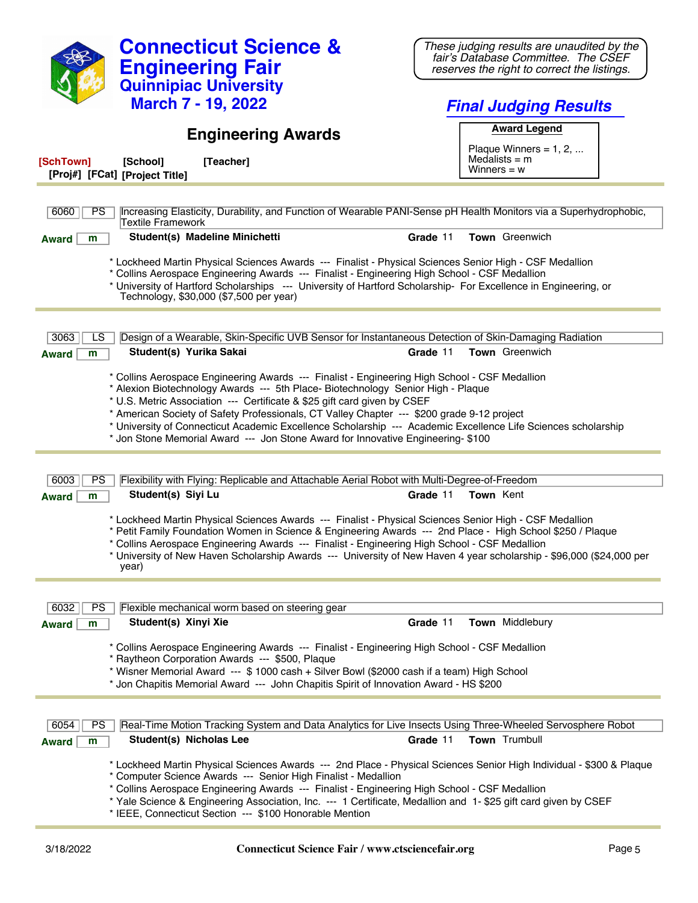| <b>Connecticut Science &amp;</b><br><b>Engineering Fair</b><br><b>Quinnipiac University</b>                                                                                                                                                                                                                                                                                                                                                                          | These judging results are unaudited by the<br>fair's Database Committee. The CSEF<br>reserves the right to correct the listings. |  |
|----------------------------------------------------------------------------------------------------------------------------------------------------------------------------------------------------------------------------------------------------------------------------------------------------------------------------------------------------------------------------------------------------------------------------------------------------------------------|----------------------------------------------------------------------------------------------------------------------------------|--|
| <b>March 7 - 19, 2022</b>                                                                                                                                                                                                                                                                                                                                                                                                                                            | <b>Final Judging Results</b>                                                                                                     |  |
|                                                                                                                                                                                                                                                                                                                                                                                                                                                                      | <b>Award Legend</b>                                                                                                              |  |
| <b>Engineering Awards</b>                                                                                                                                                                                                                                                                                                                                                                                                                                            | Plaque Winners = $1, 2, $                                                                                                        |  |
| [SchTown]<br>[School]<br>[Teacher]<br>[Proj#] [FCat] [Project Title]                                                                                                                                                                                                                                                                                                                                                                                                 | Medalists $=$ m<br>Winners = $w$                                                                                                 |  |
| Increasing Elasticity, Durability, and Function of Wearable PANI-Sense pH Health Monitors via a Superhydrophobic,<br><b>PS</b><br>6060<br>Textile Framework                                                                                                                                                                                                                                                                                                          |                                                                                                                                  |  |
| Student(s) Madeline Minichetti<br><b>Award</b><br>m                                                                                                                                                                                                                                                                                                                                                                                                                  | Town Greenwich<br>Grade 11                                                                                                       |  |
| * Lockheed Martin Physical Sciences Awards --- Finalist - Physical Sciences Senior High - CSF Medallion<br>* Collins Aerospace Engineering Awards --- Finalist - Engineering High School - CSF Medallion<br>* University of Hartford Scholarships --- University of Hartford Scholarship- For Excellence in Engineering, or<br>Technology, \$30,000 (\$7,500 per year)                                                                                               |                                                                                                                                  |  |
| Design of a Wearable, Skin-Specific UVB Sensor for Instantaneous Detection of Skin-Damaging Radiation<br>3063<br>LS                                                                                                                                                                                                                                                                                                                                                  |                                                                                                                                  |  |
| Student(s) Yurika Sakai<br><b>Award</b><br>m                                                                                                                                                                                                                                                                                                                                                                                                                         | Town Greenwich<br>Grade 11                                                                                                       |  |
| * U.S. Metric Association --- Certificate & \$25 gift card given by CSEF<br>* American Society of Safety Professionals, CT Valley Chapter --- \$200 grade 9-12 project<br>* University of Connecticut Academic Excellence Scholarship --- Academic Excellence Life Sciences scholarship<br>* Jon Stone Memorial Award --- Jon Stone Award for Innovative Engineering- \$100                                                                                          |                                                                                                                                  |  |
| 6003<br><b>PS</b><br>Flexibility with Flying: Replicable and Attachable Aerial Robot with Multi-Degree-of-Freedom                                                                                                                                                                                                                                                                                                                                                    |                                                                                                                                  |  |
| Student(s) Siyi Lu<br>m<br><b>Award</b>                                                                                                                                                                                                                                                                                                                                                                                                                              | Grade 11<br><b>Town Kent</b>                                                                                                     |  |
| * Lockheed Martin Physical Sciences Awards --- Finalist - Physical Sciences Senior High - CSF Medallion<br>* Petit Family Foundation Women in Science & Engineering Awards --- 2nd Place - High School \$250 / Plaque<br>* Collins Aerospace Engineering Awards --- Finalist - Engineering High School - CSF Medallion<br>* University of New Haven Scholarship Awards --- University of New Haven 4 year scholarship - \$96,000 (\$24,000 per<br>year)              |                                                                                                                                  |  |
|                                                                                                                                                                                                                                                                                                                                                                                                                                                                      |                                                                                                                                  |  |
| 6032<br><b>PS</b><br>Flexible mechanical worm based on steering gear<br>Student(s) Xinyi Xie                                                                                                                                                                                                                                                                                                                                                                         | Grade 11<br>Town Middlebury                                                                                                      |  |
| <b>Award</b><br>m<br>* Collins Aerospace Engineering Awards --- Finalist - Engineering High School - CSF Medallion<br>* Raytheon Corporation Awards --- \$500, Plaque<br>* Wisner Memorial Award --- \$ 1000 cash + Silver Bowl (\$2000 cash if a team) High School<br>* Jon Chapitis Memorial Award --- John Chapitis Spirit of Innovation Award - HS \$200                                                                                                         |                                                                                                                                  |  |
| Real-Time Motion Tracking System and Data Analytics for Live Insects Using Three-Wheeled Servosphere Robot<br>6054<br>PS.                                                                                                                                                                                                                                                                                                                                            |                                                                                                                                  |  |
| Student(s) Nicholas Lee<br><b>Award</b><br>m                                                                                                                                                                                                                                                                                                                                                                                                                         | Town Trumbull<br>Grade 11                                                                                                        |  |
| * Lockheed Martin Physical Sciences Awards --- 2nd Place - Physical Sciences Senior High Individual - \$300 & Plaque<br>* Computer Science Awards --- Senior High Finalist - Medallion<br>* Collins Aerospace Engineering Awards --- Finalist - Engineering High School - CSF Medallion<br>* Yale Science & Engineering Association, Inc. --- 1 Certificate, Medallion and 1-\$25 gift card given by CSEF<br>* IEEE, Connecticut Section --- \$100 Honorable Mention |                                                                                                                                  |  |